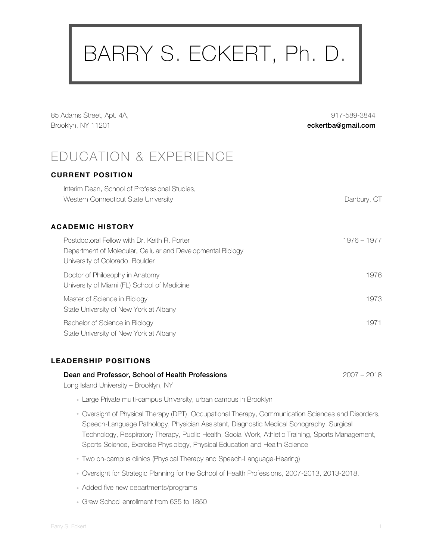# BARRY S. ECKERT, Ph. D.

85 Adams Street, Apt. 4A, Brooklyn, NY 11201

917-589-3844 eckertba@gmail.com

# EDUCATION & EXPERIENCE

#### **CURRENT POSITION**

| Interim Dean, School of Professional Studies,<br>Western Connecticut State University                                                          | Danbury, CT |
|------------------------------------------------------------------------------------------------------------------------------------------------|-------------|
| ACADEMIC HISTORY                                                                                                                               |             |
| Postdoctoral Fellow with Dr. Keith R. Porter<br>Department of Molecular, Cellular and Developmental Biology<br>University of Colorado, Boulder | 1976 – 1977 |
| Doctor of Philosophy in Anatomy<br>University of Miami (FL) School of Medicine                                                                 | 1976        |
| Master of Science in Biology<br>State University of New York at Albany                                                                         | 1973        |
| Bachelor of Science in Biology<br>State University of New York at Albany                                                                       | 1971        |

#### **LEADERSHIP POSITIONS**

#### **Dean and Professor, School of Health Professions** 2007 – 2018

Long Island University – Brooklyn, NY

- Large Private multi-campus University, urban campus in Brooklyn
- Oversight of Physical Therapy (DPT), Occupational Therapy, Communication Sciences and Disorders, Speech-Language Pathology, Physician Assistant, Diagnostic Medical Sonography, Surgical Technology, Respiratory Therapy, Public Health, Social Work, Athletic Training, Sports Management, Sports Science, Exercise Physiology, Physical Education and Health Science
- Two on-campus clinics (Physical Therapy and Speech-Language-Hearing)
- Oversight for Strategic Planning for the School of Health Professions, 2007-2013, 2013-2018.
- Added five new departments/programs
- Grew School enrollment from 635 to 1850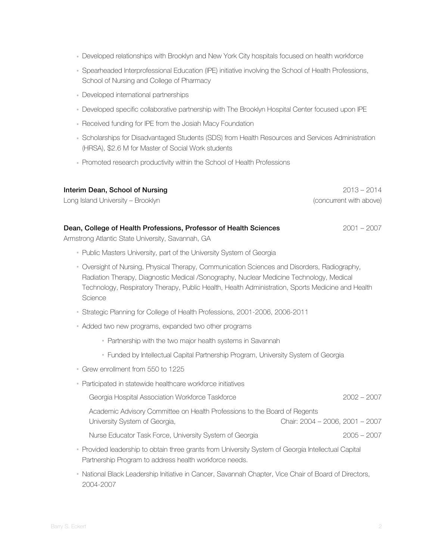- Developed relationships with Brooklyn and New York City hospitals focused on health workforce
- Spearheaded Interprofessional Education (IPE) initiative involving the School of Health Professions, School of Nursing and College of Pharmacy
- Developed international partnerships
- Developed specific collaborative partnership with The Brooklyn Hospital Center focused upon IPE
- Received funding for IPE from the Josiah Macy Foundation
- Scholarships for Disadvantaged Students (SDS) from Health Resources and Services Administration (HRSA), \$2.6 M for Master of Social Work students
- Promoted research productivity within the School of Health Professions

| Interim Dean, School of Nursing<br>Long Island University - Brooklyn                                                                                                                                                                                                                                    | $2013 - 2014$<br>(concurrent with above) |
|---------------------------------------------------------------------------------------------------------------------------------------------------------------------------------------------------------------------------------------------------------------------------------------------------------|------------------------------------------|
| Dean, College of Health Professions, Professor of Health Sciences<br>Armstrong Atlantic State University, Savannah, GA                                                                                                                                                                                  | $2001 - 2007$                            |
| • Public Masters University, part of the University System of Georgia                                                                                                                                                                                                                                   |                                          |
| • Oversight of Nursing, Physical Therapy, Communication Sciences and Disorders, Radiography,<br>Radiation Therapy, Diagnostic Medical /Sonography, Nuclear Medicine Technology, Medical<br>Technology, Respiratory Therapy, Public Health, Health Administration, Sports Medicine and Health<br>Science |                                          |
| • Strategic Planning for College of Health Professions, 2001-2006, 2006-2011                                                                                                                                                                                                                            |                                          |
| • Added two new programs, expanded two other programs                                                                                                                                                                                                                                                   |                                          |
| • Partnership with the two major health systems in Savannah                                                                                                                                                                                                                                             |                                          |
| • Funded by Intellectual Capital Partnership Program, University System of Georgia                                                                                                                                                                                                                      |                                          |
| Grew enrollment from 550 to 1225                                                                                                                                                                                                                                                                        |                                          |
| • Participated in statewide healthcare workforce initiatives                                                                                                                                                                                                                                            |                                          |
| Georgia Hospital Association Workforce Taskforce                                                                                                                                                                                                                                                        | $2002 - 2007$                            |
| Academic Advisory Committee on Health Professions to the Board of Regents<br>University System of Georgia,                                                                                                                                                                                              | Chair: 2004 - 2006, 2001 - 2007          |
| Nurse Educator Task Force, University System of Georgia                                                                                                                                                                                                                                                 | $2005 - 2007$                            |
| • Provided leadership to obtain three grants from University System of Georgia Intellectual Capital<br>Partnership Program to address health workforce needs.                                                                                                                                           |                                          |

• National Black Leadership Initiative in Cancer, Savannah Chapter, Vice Chair of Board of Directors, 2004-2007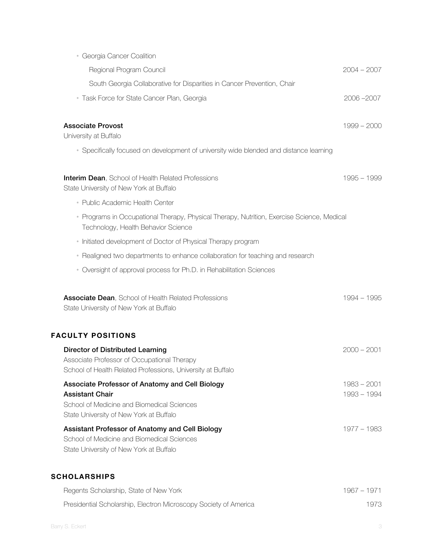| · Georgia Cancer Coalition                                                                                                                                         |                              |
|--------------------------------------------------------------------------------------------------------------------------------------------------------------------|------------------------------|
| Regional Program Council                                                                                                                                           | $2004 - 2007$                |
| South Georgia Collaborative for Disparities in Cancer Prevention, Chair                                                                                            |                              |
| · Task Force for State Cancer Plan, Georgia                                                                                                                        | 2006-2007                    |
| <b>Associate Provost</b><br>University at Buffalo                                                                                                                  | $1999 - 2000$                |
| • Specifically focused on development of university wide blended and distance learning                                                                             |                              |
| <b>Interim Dean, School of Health Related Professions</b><br>State University of New York at Buffalo                                                               | 1995 - 1999                  |
| • Public Academic Health Center                                                                                                                                    |                              |
| • Programs in Occupational Therapy, Physical Therapy, Nutrition, Exercise Science, Medical<br>Technology, Health Behavior Science                                  |                              |
| • Initiated development of Doctor of Physical Therapy program                                                                                                      |                              |
| • Realigned two departments to enhance collaboration for teaching and research                                                                                     |                              |
| • Oversight of approval process for Ph.D. in Rehabilitation Sciences                                                                                               |                              |
| <b>Associate Dean, School of Health Related Professions</b><br>State University of New York at Buffalo                                                             | 1994 - 1995                  |
| <b>FACULTY POSITIONS</b>                                                                                                                                           |                              |
| <b>Director of Distributed Learning</b><br>Associate Professor of Occupational Therapy<br>School of Health Related Professions, University at Buffalo              | $2000 - 2001$                |
| Associate Professor of Anatomy and Cell Biology<br><b>Assistant Chair</b><br>School of Medicine and Biomedical Sciences<br>State University of New York at Buffalo | $1983 - 2001$<br>1993 - 1994 |
| Assistant Professor of Anatomy and Cell Biology<br>School of Medicine and Biomedical Sciences<br>State University of New York at Buffalo                           | 1977 - 1983                  |
| <b>SCHOLARSHIPS</b>                                                                                                                                                |                              |
| Regents Scholarship, State of New York                                                                                                                             | $1967 - 1971$                |

Presidential Scholarship, Electron Microscopy Society of America 1973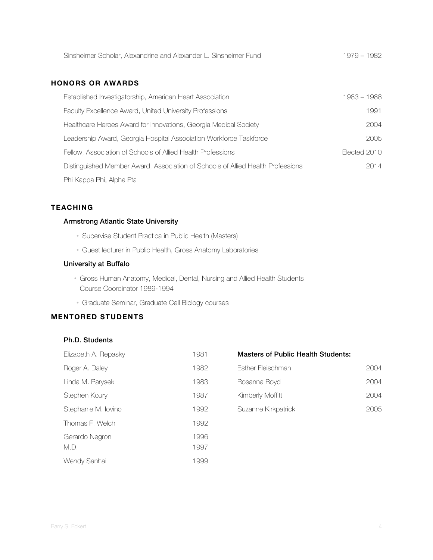| Sinsheimer Scholar, Alexandrine and Alexander L. Sinsheimer Fund | 1979 - 1982 |
|------------------------------------------------------------------|-------------|

#### **HONORS OR AWARDS**

| Established Investigatorship, American Heart Association                        | 1983 - 1988  |
|---------------------------------------------------------------------------------|--------------|
| <b>Faculty Excellence Award, United University Professions</b>                  | 1991         |
| Healthcare Heroes Award for Innovations, Georgia Medical Society                | 2004         |
| Leadership Award, Georgia Hospital Association Workforce Taskforce              | 2005         |
| Fellow, Association of Schools of Allied Health Professions                     | Elected 2010 |
| Distinguished Member Award, Association of Schools of Allied Health Professions | 2014         |
| Phi Kappa Phi, Alpha Eta                                                        |              |

#### **TEACHING**

#### Armstrong Atlantic State University

- Supervise Student Practica in Public Health (Masters)
- Guest lecturer in Public Health, Gross Anatomy Laboratories

#### University at Buffalo

- Gross Human Anatomy, Medical, Dental, Nursing and Allied Health Students Course Coordinator 1989-1994
- Graduate Seminar, Graduate Cell Biology courses

#### **MENTORED STUDENTS**

#### Ph.D. Students

| Elizabeth A. Repasky   | 1981         |
|------------------------|--------------|
| Roger A. Dalev         | 1982         |
| Linda M. Parysek       | 1983         |
| Stephen Kourv          | 1987         |
| Stephanie M. Iovino    | 1992         |
| Thomas F. Welch        | 1992         |
| Gerardo Negron<br>M.D. | 1996<br>1997 |
| Wendy Sanhai           | 1999         |

| <b>Masters of Public Health Students:</b> |      |  |
|-------------------------------------------|------|--|
| Esther Fleischman                         | 2004 |  |
| Rosanna Boyd                              | 2004 |  |
| $K$ imbor $\cup$ Moffitt                  |      |  |

| Kimberly Moffitt    | 2004 |
|---------------------|------|
| Suzanne Kirkpatrick | 2005 |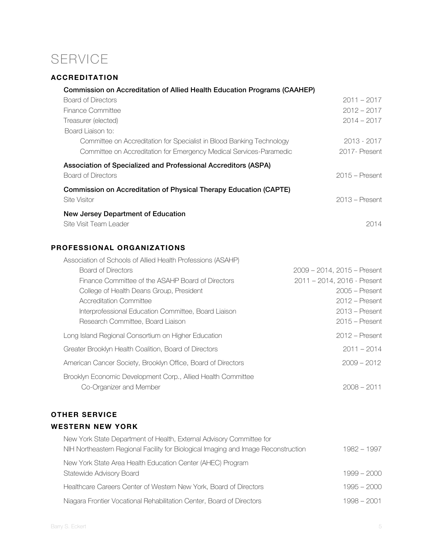# SERVICE

### **ACCREDITATION**

| <b>Commission on Accreditation of Allied Health Education Programs (CAAHEP)</b>          |                                                                 |
|------------------------------------------------------------------------------------------|-----------------------------------------------------------------|
| <b>Board of Directors</b>                                                                | $2011 - 2017$                                                   |
| Finance Committee                                                                        | $2012 - 2017$                                                   |
| Treasurer (elected)                                                                      | $2014 - 2017$                                                   |
| Board Liaison to:                                                                        |                                                                 |
| Committee on Accreditation for Specialist in Blood Banking Technology                    | 2013 - 2017                                                     |
| Committee on Accreditation for Emergency Medical Services-Paramedic                      | 2017- Present                                                   |
| Association of Specialized and Professional Accreditors (ASPA)                           |                                                                 |
| <b>Board of Directors</b>                                                                | $2015$ – Present                                                |
| Commission on Accreditation of Physical Therapy Education (CAPTE)                        |                                                                 |
| Site Visitor                                                                             | $2013$ – Present                                                |
| New Jersey Department of Education                                                       |                                                                 |
| Site Visit Team Leader                                                                   | 2014                                                            |
|                                                                                          |                                                                 |
| PROFESSIONAL ORGANIZATIONS                                                               |                                                                 |
|                                                                                          |                                                                 |
| Association of Schools of Allied Health Professions (ASAHP)<br><b>Board of Directors</b> |                                                                 |
| Finance Committee of the ASAHP Board of Directors                                        | $2009 - 2014$ , $2015 -$ Present<br>2011 - 2014, 2016 - Present |
| College of Health Deans Group, President                                                 | $2005$ – Present                                                |
| <b>Accreditation Committee</b>                                                           | $2012$ – Present                                                |
| Interprofessional Education Committee, Board Liaison                                     | $2013$ – Present                                                |
| Research Committee, Board Liaison                                                        | $2015$ – Present                                                |
|                                                                                          |                                                                 |
| Long Island Regional Consortium on Higher Education                                      | $2012$ – Present                                                |
| Greater Brooklyn Health Coalition, Board of Directors                                    | $2011 - 2014$                                                   |
| American Cancer Society, Brooklyn Office, Board of Directors                             | $2009 - 2012$                                                   |
| Brooklyn Economic Development Corp., Allied Health Committee                             |                                                                 |
| Co-Organizer and Member                                                                  | $2008 - 2011$                                                   |
|                                                                                          |                                                                 |

### **OTHER SERVICE**

### **WESTERN NEW YORK**

| New York State Department of Health, External Advisory Committee for               |               |
|------------------------------------------------------------------------------------|---------------|
| NIH Northeastern Regional Facility for Biological Imaging and Image Reconstruction | $1982 - 1997$ |
| New York State Area Health Education Center (AHEC) Program                         |               |
| Statewide Advisory Board                                                           | $1999 - 2000$ |
| Healthcare Careers Center of Western New York, Board of Directors                  | $1995 - 2000$ |
| Niagara Frontier Vocational Rehabilitation Center, Board of Directors              | 1998 - 2001   |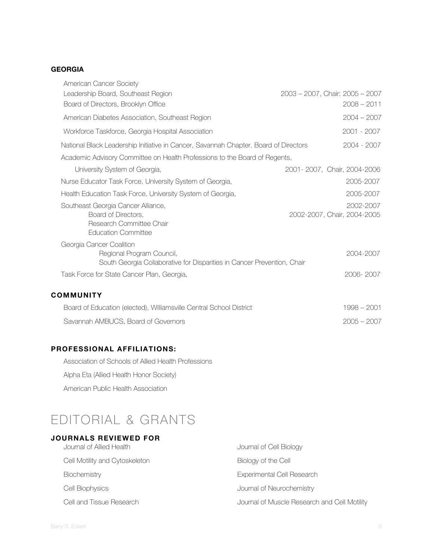#### **GEORGIA**

| American Cancer Society<br>Leadership Board, Southeast Region<br>Board of Directors, Brooklyn Office                             | $2003 - 2007$ , Chair: $2005 - 2007$<br>$2008 - 2011$ |
|----------------------------------------------------------------------------------------------------------------------------------|-------------------------------------------------------|
| American Diabetes Association, Southeast Region                                                                                  | $2004 - 2007$                                         |
| Workforce Taskforce, Georgia Hospital Association                                                                                | 2001 - 2007                                           |
| National Black Leadership Initiative in Cancer, Savannah Chapter. Board of Directors                                             | 2004 - 2007                                           |
| Academic Advisory Committee on Health Professions to the Board of Regents,                                                       |                                                       |
| University System of Georgia,                                                                                                    | 2001 - 2007, Chair, 2004 - 2006                       |
| Nurse Educator Task Force, University System of Georgia,                                                                         | 2005-2007                                             |
| Health Education Task Force, University System of Georgia,                                                                       | 2005-2007                                             |
| Southeast Georgia Cancer Alliance,<br>Board of Directors,<br>Research Committee Chair<br><b>Education Committee</b>              | 2002-2007<br>2002-2007, Chair, 2004-2005              |
| Georgia Cancer Coalition<br>Regional Program Council,<br>South Georgia Collaborative for Disparities in Cancer Prevention, Chair | 2004-2007                                             |
| Task Force for State Cancer Plan, Georgia,                                                                                       | 2006-2007                                             |
| <b>COMMUNITY</b>                                                                                                                 |                                                       |
| Board of Education (elected), Williamsville Central School District                                                              | $1998 - 2001$                                         |
| Savannah AMBUCS, Board of Governors                                                                                              | $2005 - 2007$                                         |

#### **PROFESSIONAL AFFILIATIONS:**

Association of Schools of Allied Health Professions

Alpha Eta (Allied Health Honor Society)

American Public Health Association

# EDITORIAL & GRANTS

#### **JOURNALS REVIEWED FOR**

| Journal of Allied Health       | Journal of Cell Biology                      |
|--------------------------------|----------------------------------------------|
| Cell Motility and Cytoskeleton | Biology of the Cell                          |
| Biochemistry                   | Experimental Cell Research                   |
| Cell Biophysics                | Journal of Neurochemistry                    |
| Cell and Tissue Research       | Journal of Muscle Research and Cell Motility |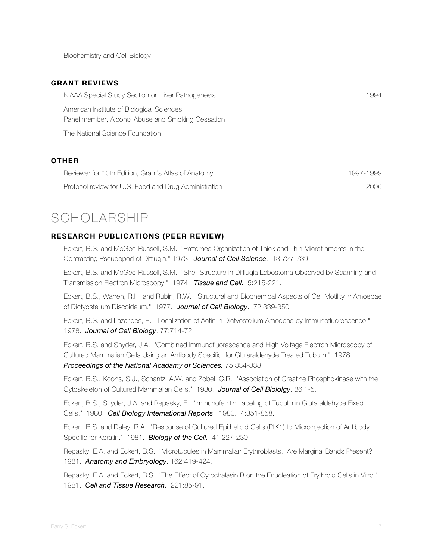Biochemistry and Cell Biology

#### **GRANT REVIEWS**

| NIAAA Special Study Section on Liver Pathogenesis                                              | 1994 |
|------------------------------------------------------------------------------------------------|------|
| American Institute of Biological Sciences<br>Panel member, Alcohol Abuse and Smoking Cessation |      |
| The National Science Foundation                                                                |      |
|                                                                                                |      |

#### **OTHER**

| Reviewer for 10th Edition, Grant's Atlas of Anatomy   | 1997-1999 |
|-------------------------------------------------------|-----------|
| Protocol review for U.S. Food and Drug Administration | 2006      |

# SCHOLARSHIP

#### **RESEARCH PUBLICATIONS (PEER REVIEW)**

Eckert, B.S. and McGee-Russell, S.M. "Patterned Organization of Thick and Thin Microfilaments in the Contracting Pseudopod of Difflugia." 1973. *Journal of Cell Science.* 13:727-739.

Eckert, B.S. and McGee-Russell, S.M. "Shell Structure in Difflugia Lobostoma Observed by Scanning and Transmission Electron Microscopy." 1974. *Tissue and Cell.* 5:215-221.

Eckert, B.S., Warren, R.H. and Rubin, R.W. "Structural and Biochemical Aspects of Cell Motility in Amoebae of Dictyostelium Discoideum." 1977. *Journal of Cell Biology*. 72:339-350.

Eckert, B.S. and Lazarides, E. "Localization of Actin in Dictyostelium Amoebae by Immunofluorescence." 1978. *Journal of Cell Biology*. 77:714-721.

Eckert, B.S. and Snyder, J.A. "Combined Immunofluorescence and High Voltage Electron Microscopy of Cultured Mammalian Cells Using an Antibody Specific for Glutaraldehyde Treated Tubulin." 1978. *Proceedings of the National Acadamy of Sciences.* 75:334-338.

Eckert, B.S., Koons, S.J., Schantz, A.W. and Zobel, C.R. "Association of Creatine Phosphokinase with the Cytoskeleton of Cultured Mammalian Cells." 1980. *Journal of Cell Biololgy*. 86:1-5.

Eckert, B.S., Snyder, J.A. and Repasky, E. "Immunoferritin Labeling of Tubulin in Glutaraldehyde Fixed Cells." 1980. *Cell Biology International Reports*. 1980. 4:851-858.

Eckert, B.S. and Daley, R.A. "Response of Cultured Epithelioid Cells (PtK1) to Microinjection of Antibody Specific for Keratin." 1981. *Biology of the Cell.* 41:227-230.

Repasky, E.A. and Eckert, B.S. "Microtubules in Mammalian Erythroblasts. Are Marginal Bands Present?" 1981. *Anatomy and Embryology*. 162:419-424.

Repasky, E.A. and Eckert, B.S. "The Effect of Cytochalasin B on the Enucleation of Erythroid Cells in Vitro." 1981. *Cell and Tissue Research.* 221:85-91.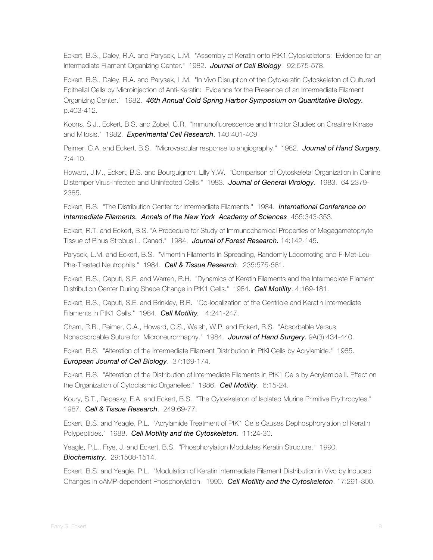Eckert, B.S., Daley, R.A. and Parysek, L.M. "Assembly of Keratin onto PtK1 Cytoskeletons: Evidence for an Intermediate Filament Organizing Center." 1982. *Journal of Cell Biology*. 92:575-578.

Eckert, B.S., Daley, R.A. and Parysek, L.M. "In Vivo Disruption of the Cytokeratin Cytoskeleton of Cultured Epithelial Cells by Microinjection of Anti-Keratin: Evidence for the Presence of an Intermediate Filament Organizing Center." 1982. *46th Annual Cold Spring Harbor Symposium on Quantitative Biology.* p.403-412.

Koons, S.J., Eckert, B.S. and Zobel, C.R. "Immunofluorescence and Inhibitor Studies on Creatine Kinase and Mitosis." 1982. *Experimental Cell Research*. 140:401-409.

Peimer, C.A. and Eckert, B.S. "Microvascular response to angiography." 1982. *Journal of Hand Surgery.* 7:4-10.

Howard, J.M., Eckert, B.S. and Bourguignon, Lilly Y.W. "Comparison of Cytoskeletal Organization in Canine Distemper Virus-Infected and Uninfected Cells." 1983. *Journal of General Virology*. 1983. 64:2379- 2385.

Eckert, B.S. "The Distribution Center for Intermediate Filaments." 1984. *International Conference on Intermediate Filaments. Annals of the New York Academy of Sciences*. 455:343-353.

Eckert, R.T. and Eckert, B.S. "A Procedure for Study of Immunochemical Properties of Megagametophyte Tissue of Pinus Strobus L. Canad." 1984. *Journal of Forest Research.* 14:142-145.

Parysek, L.M. and Eckert, B.S. "Vimentin Filaments in Spreading, Randomly Locomoting and F-Met-Leu-Phe-Treated Neutrophils." 1984. *Cell & Tissue Research*. 235:575-581.

Eckert, B.S., Caputi, S.E. and Warren, R.H. "Dynamics of Keratin Filaments and the Intermediate Filament Distribution Center During Shape Change in PtK1 Cells." 1984. *Cell Motility*. 4:169-181.

Eckert, B.S., Caputi, S.E. and Brinkley, B.R. "Co-localization of the Centriole and Keratin Intermediate Filaments in PtK1 Cells." 1984. *Cell Motility.* 4:241-247.

Cham, R.B., Peimer, C.A., Howard, C.S., Walsh, W.P. and Eckert, B.S. "Absorbable Versus Nonabsorbable Suture for Microneurorrhaphy." 1984. *Journal of Hand Surgery.* 9A(3):434-440.

Eckert, B.S. "Alteration of the Intermediate Filament Distribution in PtKl Cells by Acrylamide." 1985. *European Journal of Cell Biology*. 37:169-174.

Eckert, B.S. "Alteration of the Distribution of Intermediate Filaments in PtK1 Cells by Acrylamide II. Effect on the Organization of Cytoplasmic Organelles." 1986. *Cell Motility*. 6:15-24.

Koury, S.T., Repasky, E.A. and Eckert, B.S. "The Cytoskeleton of Isolated Murine Primitive Erythrocytes." 1987. *Cell & Tissue Research*. 249:69-77.

Eckert, B.S. and Yeagle, P.L. "Acrylamide Treatment of PtK1 Cells Causes Dephosphorylation of Keratin Polypeptides." 1988. *Cell Motility and the Cytoskeleton.* 11:24-30.

Yeagle, P.L., Frye, J. and Eckert, B.S. "Phosphorylation Modulates Keratin Structure." 1990. *Biochemistry.* 29:1508-1514.

Eckert, B.S. and Yeagle, P.L. "Modulation of Keratin Intermediate Filament Distribution in Vivo by Induced Changes in cAMP-dependent Phosphorylation. 1990. *Cell Motility and the Cytoskeleton*, 17:291-300.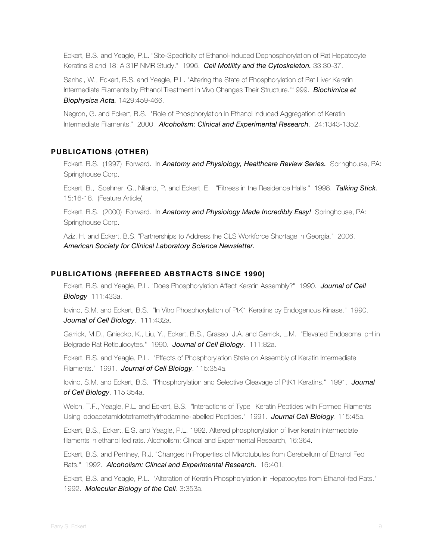Eckert, B.S. and Yeagle, P.L. "Site-Specificity of Ethanol-Induced Dephosphorylation of Rat Hepatocyte Keratins 8 and 18: A 31P NMR Study." 1996. *Cell Motility and the Cytoskeleton.* 33:30-37.

Sanhai, W., Eckert, B.S. and Yeagle, P.L. "Altering the State of Phosphorylation of Rat Liver Keratin Intermediate Filaments by Ethanol Treatment in Vivo Changes Their Structure."1999. *Biochimica et Biophysica Acta.* 1429:459-466.

Negron, G. and Eckert, B.S. "Role of Phosphorylation In Ethanol Induced Aggregation of Keratin Intermediate Filaments." 2000. *Alcoholism: Clinical and Experimental Research*. 24:1343-1352.

#### **PUBLICATIONS (OTHER)**

Eckert. B.S. (1997) Forward. In *Anatomy and Physiology, Healthcare Review Series.* Springhouse, PA: Springhouse Corp.

Eckert, B., Soehner, G., Niland, P. and Eckert, E. "Fitness in the Residence Halls." 1998. *Talking Stick.*  15:16-18. (Feature Article)

Eckert, B.S. (2000) Forward. In *Anatomy and Physiology Made Incredibly Easy!* Springhouse, PA: Springhouse Corp.

Aziz. H. and Eckert, B.S. "Partnerships to Address the CLS Workforce Shortage in Georgia." 2006. *American Society for Clinical Laboratory Science Newsletter.*

#### **PUBLICATIONS (REFEREED ABSTRACTS SINCE 1990)**

Eckert, B.S. and Yeagle, P.L. "Does Phosphorylation Affect Keratin Assembly?" 1990. *Journal of Cell Biology* 111:433a.

Iovino, S.M. and Eckert, B.S. "In Vitro Phosphorylation of PtK1 Keratins by Endogenous Kinase." 1990. *Journal of Cell Biology*. 111:432a.

Garrick, M.D., Gniecko, K., Liu, Y., Eckert, B.S., Grasso, J.A. and Garrick, L.M. "Elevated Endosomal pH in Belgrade Rat Reticulocytes." 1990. *Journal of Cell Biology*. 111:82a.

Eckert, B.S. and Yeagle, P.L. "Effects of Phosphorylation State on Assembly of Keratin Intermediate Filaments." 1991. *Journal of Cell Biology*. 115:354a.

Iovino, S.M. and Eckert, B.S. "Phosphorylation and Selective Cleavage of PtK1 Keratins." 1991. *Journal of Cell Biology*. 115:354a.

Welch, T.F., Yeagle, P.L. and Eckert, B.S. "Interactions of Type I Keratin Peptides with Formed Filaments Using Iodoacetamidotetramethylrhodamine-labelled Peptides." 1991. *Journal Cell Biology*. 115:45a.

Eckert, B.S., Eckert, E.S. and Yeagle, P.L. 1992. Altered phosphorylation of liver keratin intermediate filaments in ethanol fed rats. Alcoholism: Clincal and Experimental Research, 16:364.

Eckert, B.S. and Pentney, R.J. "Changes in Properties of Microtubules from Cerebellum of Ethanol Fed Rats." 1992. *Alcoholism: Clincal and Experimental Research.* 16:401.

Eckert, B.S. and Yeagle, P.L. "Alteration of Keratin Phosphorylation in Hepatocytes from Ethanol-fed Rats." 1992. *Molecular Biology of the Cell*. 3:353a.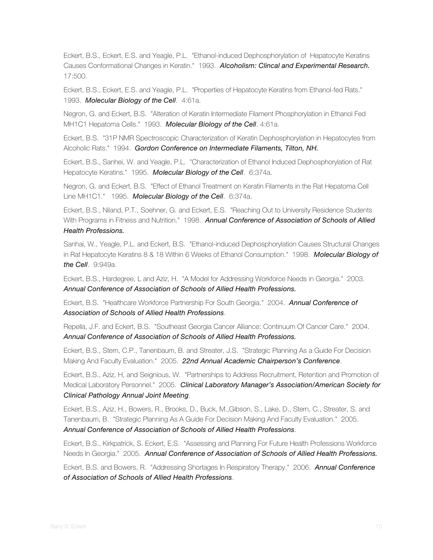Eckert, B.S., Eckert, E.S. and Yeagle, P.L. "Ethanol-induced Dephosphorylation of Hepatocyte Keratins Causes Conformational Changes in Keratin." 1993. *Alcoholism: Clincal and Experimental Research.* 17:500.

Eckert, B.S., Eckert, E.S. and Yeagle, P.L. "Properties of Hepatocyte Keratins from Ethanol-fed Rats." 1993. *Molecular Biology of the Cell*. 4:61a.

Negron, G. and Eckert, B.S. "Alteration of Keratin Intermediate Filament Phosphorylation in Ethanol Fed MH1C1 Hepatoma Cells." 1993. *Molecular Biology of the Cell*. 4:61a.

Eckert, B.S. "31P NMR Spectroscopic Characterization of Keratin Dephosphorylation in Hepatocytes from Alcoholic Rats." 1994. *Gordon Conference on Intermediate Filaments, Tilton, NH.*

Eckert, B.S., Sanhei, W. and Yeagle, P.L. "Characterization of Ethanol Induced Dephosphorylation of Rat Hepatocyte Keratins." 1995. *Molecular Biology of the Cell*. 6:374a.

Negron, G. and Eckert, B.S. "Effect of Ethanol Treatment on Keratin Filaments in the Rat Hepatoma Cell Line MH1C1." 1995. *Molecular Biology of the Cell*. 6:374a.

Eckert, B.S., Niland, P.T., Soehner, G. and Eckert, E.S. "Reaching Out to University Residence Students With Programs in Fitness and Nutrition." 1998. *Annual Conference of Association of Schools of Allied Health Professions.*

Sanhai, W., Yeagle, P.L. and Eckert, B.S. "Ethanol-induced Dephosphorylation Causes Structural Changes in Rat Hepatocyte Keratins 8 & 18 Within 6 Weeks of Ethanol Consumption." 1998. *Molecular Biology of the Cell*. 9:949a.

Eckert, B.S., Hardegree, L and Aziz, H. "A Model for Addressing Workforce Needs in Georgia." 2003. *Annual Conference of Association of Schools of Allied Health Professions.*

Eckert, B.S. "Healthcare Workforce Partnership For South Georgia." 2004. *Annual Conference of Association of Schools of Allied Health Professions*.

Repella, J.F. and Eckert, B.S. "Southeast Georgia Cancer Alliance: Continuum Of Cancer Care." 2004. *Annual Conference of Association of Schools of Allied Health Professions.*

Eckert, B.S., Stern, C.P., Tanenbaum, B. and Streater, J.S. "Strategic Planning As a Guide For Decision Making And Faculty Evaluation." 2005. *22nd Annual Academic Chairperson's Conference*.

Eckert, B.S., Aziz, H, and Seignious, W. "Partnerships to Address Recruitment, Retention and Promotion of Medical Laboratory Personnel." 2005. *Clinical Laboratory Manager's Association/American Society for Clinical Pathology Annual Joint Meeting*.

Eckert, B.S., Aziz, H., Bowers, R., Brooks, D., Buck, M.,Gibson, S., Lake, D., Stern, C., Streater, S. and Tanenbaum, B. "Strategic Planning As A Guide For Decision Making And Faculty Evaluation." 2005. *Annual Conference of Association of Schools of Allied Health Professions*.

Eckert, B.S., Kirkpatrick, S. Eckert, E.S. "Assessing and Planning For Future Health Professions Workforce Needs In Georgia." 2005. *Annual Conference of Association of Schools of Allied Health Professions.*

Eckert, B.S. and Bowers, R. "Addressing Shortages In Respiratory Therapy." 2006. *Annual Conference of Association of Schools of Allied Health Professions*.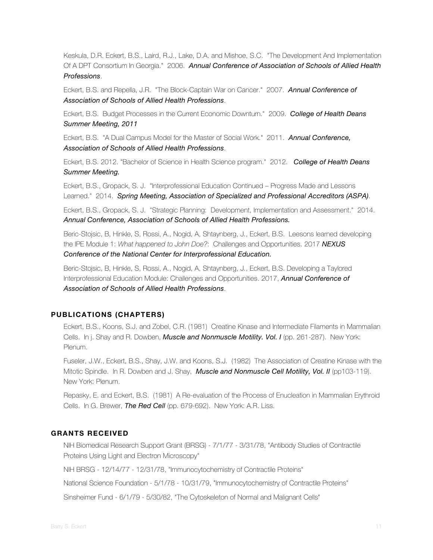Keskula, D.R. Eckert, B.S., Laird, R.J., Lake, D.A. and Mishoe, S.C. "The Development And Implementation Of A DPT Consortium In Georgia." 2006. *Annual Conference of Association of Schools of Allied Health Professions*.

Eckert, B.S. and Repella, J.R. "The Block-Captain War on Cancer." 2007. *Annual Conference of Association of Schools of Allied Health Professions*.

Eckert, B.S. Budget Processes in the Current Economic Downturn." 2009. *College of Health Deans Summer Meeting, 2011*

Eckert, B.S. "A Dual Campus Model for the Master of Social Work." 2011. *Annual Conference, Association of Schools of Allied Health Professions*.

Eckert, B.S. 2012. "Bachelor of Science in Health Science program." 2012. *College of Health Deans Summer Meeting.*

Eckert, B.S., Gropack, S. J. "Interprofessional Education Continued – Progress Made and Lessons Learned." 2014. *Spring Meeting, Association of Specialized and Professional Accreditors (ASPA)*.

Eckert, B.S., Gropack, S. J. "Strategic Planning: Development, Implementation and Assessment." 2014. *Annual Conference, Association of Schools of Allied Health Professions.*

Beric-Stojsic, B, Hinkle, S, Rossi, A., Nogid, A, Shtaynberg, J., Eckert, B.S. Leesons learned developing the IPE Module 1: *What happened to John Doe?*: Challenges and Opportunities. 2017 *NEXUS Conference of the National Center for Interprofessional Education.*

Beric-Stojsic, B, Hinkle, S, Rossi, A., Nogid, A, Shtaynberg, J., Eckert, B.S. Developing a Taylored Interprofessional Education Module: Challenges and Opportunities. 2017, *Annual Conference of Association of Schools of Allied Health Professions*.

#### **PUBLICATIONS (CHAPTERS)**

Eckert, B.S., Koons, S.J. and Zobel, C.R. (1981) Creatine Kinase and Intermediate Filaments in Mammalian Cells. In j. Shay and R. Dowben, *Muscle and Nonmuscle Motility. Vol. I* (pp. 261-287). New York: Plenum.

Fuseler, J.W., Eckert, B.S., Shay, J.W. and Koons, S.J. (1982) The Association of Creatine Kinase with the Mitotic Spindle. In R. Dowben and J. Shay, *Muscle and Nonmuscle Cell Motility, Vol. II* (pp103-119). New York: Plenum.

Repasky, E. and Eckert, B.S. (1981) A Re-evaluation of the Process of Enucleation in Mammalian Erythroid Cells. In G. Brewer, *The Red Cell* (pp. 679-692). New York: A.R. Liss.

#### **GRANTS RECEIVED**

NIH Biomedical Research Support Grant (BRSG) - 7/1/77 - 3/31/78, "Antibody Studies of Contractile Proteins Using Light and Electron Microscopy"

NIH BRSG - 12/14/77 - 12/31/78, "Immunocytochemistry of Contractile Proteins"

National Science Foundation - 5/1/78 - 10/31/79, "Immunocytochemistry of Contractile Proteins"

Sinsheimer Fund - 6/1/79 - 5/30/82, "The Cytoskeleton of Normal and Malignant Cells"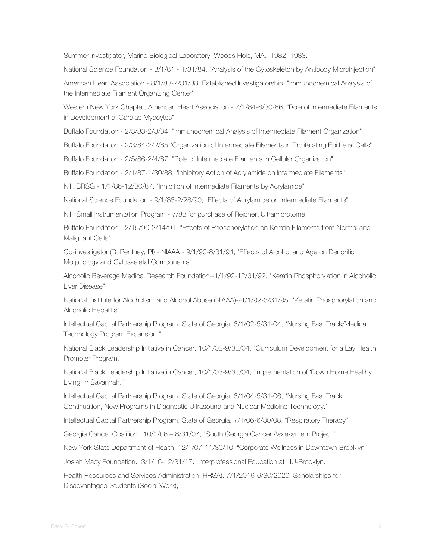Summer Investigator, Marine Biological Laboratory, Woods Hole, MA. 1982, 1983.

National Science Foundation - 8/1/81 - 1/31/84, "Analysis of the Cytoskeleton by Antibody Microinjection"

American Heart Association - 8/1/83-7/31/88, Established Investigatorship, "Immunochemical Analysis of the Intermediate Filament Organizing Center"

Western New York Chapter, American Heart Association - 7/1/84-6/30-86, "Role of Intermediate Filaments in Development of Cardiac Myocytes"

Buffalo Foundation - 2/3/83-2/3/84, "Immunochemical Analysis of Intermediate Filament Organization"

Buffalo Foundation - 2/3/84-2/2/85 "Organization of Intermediate Filaments in Proliferating Epithelial Cells"

Buffalo Foundation - 2/5/86-2/4/87, "Role of Intermediate Filaments in Cellular Organization"

Buffalo Foundation - 2/1/87-1/30/88, "Inhibitory Action of Acrylamide on Intermediate Filaments"

NIH BRSG - 1/1/86-12/30/87, "Inhibition of Intermediate Filaments by Acrylamide"

National Science Foundation - 9/1/88-2/28/90, "Effects of Acrylamide on Intermediate Filaments"

NIH Small Instrumentation Program - 7/88 for purchase of Reichert Ultramicrotome

Buffalo Foundation - 2/15/90-2/14/91, "Effects of Phosphorylation on Keratin Filaments from Normal and Malignant Cells"

Co-investigator (R. Pentney, PI) - NIAAA - 9/1/90-8/31/94, "Effects of Alcohol and Age on Dendritic Morphology and Cytoskeletal Components"

Alcoholic Beverage Medical Research Foundation--1/1/92-12/31/92, "Keratin Phosphorylation in Alcoholic Liver Disease".

National Institute for Alcoholism and Alcohol Abuse (NIAAA)--4/1/92-3/31/95, "Keratin Phosphorylation and Alcoholic Hepatitis".

Intellectual Capital Partnership Program, State of Georgia, 6/1/02-5/31-04, "Nursing Fast Track/Medical Technology Program Expansion."

National Black Leadership Initiative in Cancer, 10/1/03-9/30/04, "Curriculum Development for a Lay Health Promoter Program."

National Black Leadership Initiative in Cancer, 10/1/03-9/30/04, "Implementation of 'Down Home Healthy Living' in Savannah."

Intellectual Capital Partnership Program, State of Georgia, 6/1/04-5/31-06, "Nursing Fast Track Continuation, New Programs in Diagnostic Ultrasound and Nuclear Medicine Technology."

Intellectual Capital Partnership Program, State of Georgia, 7/1/06-6/30/08. "Respiratory Therapy"

Georgia Cancer Coalition. 10/1/06 – 8/31/07, "South Georgia Cancer Assessment Project."

New York State Department of Health. 12/1/07-11/30/10, "Corporate Wellness in Downtown Brooklyn"

Josiah Macy Foundation. 3/1/16-12/31/17. Interprofessional Education at LIU-Brooklyn.

Health Resources and Services Administration (HRSA). 7/1/2016-6/30/2020, Scholarships for Disadvantaged Students (Social Work),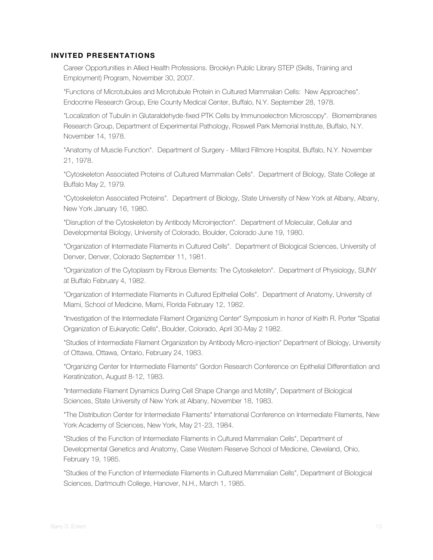#### **INVITED PRESENTATIONS**

Career Opportunities in Allied Health Professions. Brooklyn Public Library STEP (Skills, Training and Employment) Program, November 30, 2007.

"Functions of Microtubules and Microtubule Protein in Cultured Mammalian Cells: New Approaches". Endocrine Research Group, Erie County Medical Center, Buffalo, N.Y. September 28, 1978.

"Localization of Tubulin in Glutaraldehyde-fixed PTK Cells by Immunoelectron Microscopy". Biomembranes Research Group, Department of Experimental Pathology, Roswell Park Memorial Institute, Buffalo, N.Y. November 14, 1978.

"Anatomy of Muscle Function". Department of Surgery - Millard Fillmore Hospital, Buffalo, N.Y. November 21, 1978.

"Cytoskeleton Associated Proteins of Cultured Mammalian Cells". Department of Biology, State College at Buffalo May 2, 1979.

"Cytoskeleton Associated Proteins". Department of Biology, State University of New York at Albany, Albany, New York January 16, 1980.

"Disruption of the Cytoskeleton by Antibody Microinjection". Department of Molecular, Cellular and Developmental Biology, University of Colorado, Boulder, Colorado June 19, 1980.

"Organization of Intermediate Filaments in Cultured Cells". Department of Biological Sciences, University of Denver, Denver, Colorado September 11, 1981.

"Organization of the Cytoplasm by Fibrous Elements: The Cytoskeleton". Department of Physiology, SUNY at Buffalo February 4, 1982.

"Organization of Intermediate Filaments in Cultured Epithelial Cells". Department of Anatomy, University of Miami, School of Medicine, Miami, Florida February 12, 1982.

"Investigation of the Intermediate Filament Organizing Center" Symposium in honor of Keith R. Porter "Spatial Organization of Eukaryotic Cells", Boulder, Colorado, April 30-May 2 1982.

"Studies of Intermediate Filament Organization by Antibody Micro-injection" Department of Biology, University of Ottawa, Ottawa, Ontario, February 24, 1983.

"Organizing Center for Intermediate Filaments" Gordon Research Conference on Epithelial Differentiation and Keratinization, August 8-12, 1983.

"Intermediate Filament Dynamics During Cell Shape Change and Motility", Department of Biological Sciences, State University of New York at Albany, November 18, 1983.

"The Distribution Center for Intermediate Filaments" International Conference on Intermediate Filaments, New York Academy of Sciences, New York, May 21-23, 1984.

"Studies of the Function of Intermediate Filaments in Cultured Mammalian Cells", Department of Developmental Genetics and Anatomy, Case Western Reserve School of Medicine, Cleveland, Ohio, February 19, 1985.

"Studies of the Function of Intermediate Filaments in Cultured Mammalian Cells", Department of Biological Sciences, Dartmouth College, Hanover, N.H., March 1, 1985.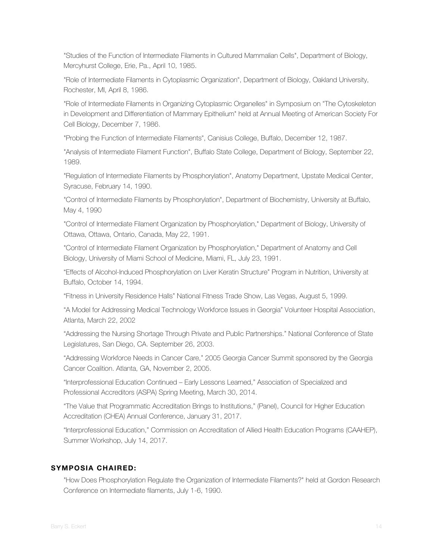"Studies of the Function of Intermediate Filaments in Cultured Mammalian Cells", Department of Biology, Mercyhurst College, Erie, Pa., April 10, 1985.

"Role of Intermediate Filaments in Cytoplasmic Organization", Department of Biology, Oakland University, Rochester, MI, April 8, 1986.

"Role of Intermediate Filaments in Organizing Cytoplasmic Organelles" in Symposium on "The Cytoskeleton in Development and Differentiation of Mammary Epithelium" held at Annual Meeting of American Society For Cell Biology, December 7, 1986.

"Probing the Function of Intermediate Filaments", Canisius College, Buffalo, December 12, 1987.

"Analysis of Intermediate Filament Function", Buffalo State College, Department of Biology, September 22, 1989.

"Regulation of Intermediate Filaments by Phosphorylation", Anatomy Department, Upstate Medical Center, Syracuse, February 14, 1990.

"Control of Intermediate Filaments by Phosphorylation", Department of Biochemistry, University at Buffalo, May 4, 1990

"Control of Intermediate Filament Organization by Phosphorylation," Department of Biology, University of Ottawa, Ottawa, Ontario, Canada, May 22, 1991.

"Control of Intermediate Filament Organization by Phosphorylation," Department of Anatomy and Cell Biology, University of Miami School of Medicine, Miami, FL, July 23, 1991.

"Effects of Alcohol-Induced Phosphorylation on Liver Keratin Structure" Program in Nutrition, University at Buffalo, October 14, 1994.

"Fitness in University Residence Halls" National Fitness Trade Show, Las Vegas, August 5, 1999.

"A Model for Addressing Medical Technology Workforce Issues in Georgia" Volunteer Hospital Association, Atlanta, March 22, 2002

"Addressing the Nursing Shortage Through Private and Public Partnerships." National Conference of State Legislatures, San Diego, CA. September 26, 2003.

"Addressing Workforce Needs in Cancer Care," 2005 Georgia Cancer Summit sponsored by the Georgia Cancer Coalition. Atlanta, GA, November 2, 2005.

"Interprofessional Education Continued – Early Lessons Learned," Association of Specialized and Professional Accreditors (ASPA) Spring Meeting, March 30, 2014.

"The Value that Programmatic Accreditation Brings to Institutions," (Panel), Council for Higher Education Accreditation (CHEA) Annual Conference, January 31, 2017.

"Interprofessional Education," Commission on Accreditation of Allied Health Education Programs (CAAHEP), Summer Workshop, July 14, 2017.

#### **SYMPOSIA CHAIRED:**

"How Does Phosphorylation Regulate the Organization of Intermediate Filaments?" held at Gordon Research Conference on Intermediate filaments, July 1-6, 1990.